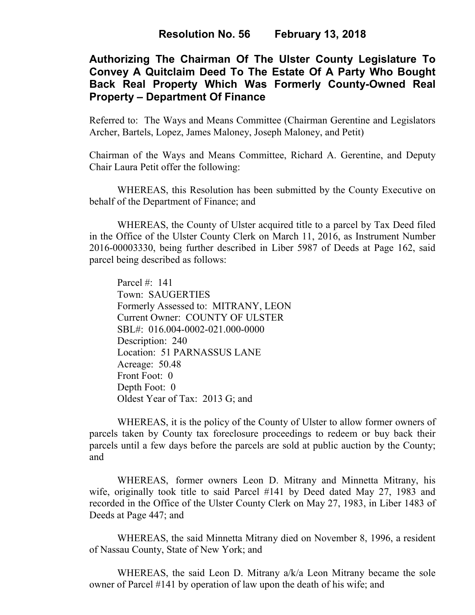# **Authorizing The Chairman Of The Ulster County Legislature To Convey A Quitclaim Deed To The Estate Of A Party Who Bought Back Real Property Which Was Formerly County-Owned Real Property – Department Of Finance**

Referred to: The Ways and Means Committee (Chairman Gerentine and Legislators Archer, Bartels, Lopez, James Maloney, Joseph Maloney, and Petit)

Chairman of the Ways and Means Committee, Richard A. Gerentine, and Deputy Chair Laura Petit offer the following:

WHEREAS, this Resolution has been submitted by the County Executive on behalf of the Department of Finance; and

 WHEREAS, the County of Ulster acquired title to a parcel by Tax Deed filed in the Office of the Ulster County Clerk on March 11, 2016, as Instrument Number 2016-00003330, being further described in Liber 5987 of Deeds at Page 162, said parcel being described as follows:

 Parcel #: 141 Town: SAUGERTIES Formerly Assessed to: MITRANY, LEON Current Owner: COUNTY OF ULSTER SBL#: 016.004-0002-021.000-0000 Description: 240 Location: 51 PARNASSUS LANE Acreage: 50.48 Front Foot: 0 Depth Foot: 0 Oldest Year of Tax: 2013 G; and

 WHEREAS, it is the policy of the County of Ulster to allow former owners of parcels taken by County tax foreclosure proceedings to redeem or buy back their parcels until a few days before the parcels are sold at public auction by the County; and

 WHEREAS, former owners Leon D. Mitrany and Minnetta Mitrany, his wife, originally took title to said Parcel #141 by Deed dated May 27, 1983 and recorded in the Office of the Ulster County Clerk on May 27, 1983, in Liber 1483 of Deeds at Page 447; and

 WHEREAS, the said Minnetta Mitrany died on November 8, 1996, a resident of Nassau County, State of New York; and

WHEREAS, the said Leon D. Mitrany a/k/a Leon Mitrany became the sole owner of Parcel #141 by operation of law upon the death of his wife; and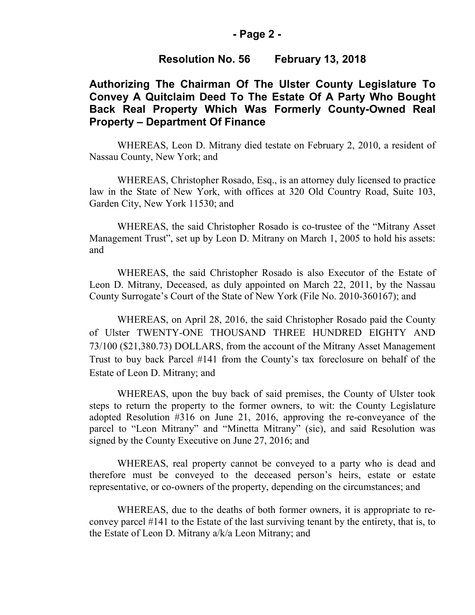#### **- Page 2 -**

#### **Resolution No. 56 February 13, 2018**

## **Authorizing The Chairman Of The Ulster County Legislature To Convey A Quitclaim Deed To The Estate Of A Party Who Bought Back Real Property Which Was Formerly County-Owned Real Property – Department Of Finance**

 WHEREAS, Leon D. Mitrany died testate on February 2, 2010, a resident of Nassau County, New York; and

 WHEREAS, Christopher Rosado, Esq., is an attorney duly licensed to practice law in the State of New York, with offices at 320 Old Country Road, Suite 103, Garden City, New York 11530; and

 WHEREAS, the said Christopher Rosado is co-trustee of the "Mitrany Asset Management Trust", set up by Leon D. Mitrany on March 1, 2005 to hold his assets: and

 WHEREAS, the said Christopher Rosado is also Executor of the Estate of Leon D. Mitrany, Deceased, as duly appointed on March 22, 2011, by the Nassau County Surrogate's Court of the State of New York (File No. 2010-360167); and

WHEREAS, on April 28, 2016, the said Christopher Rosado paid the County of Ulster TWENTY-ONE THOUSAND THREE HUNDRED EIGHTY AND 73/100 (\$21,380.73) DOLLARS, from the account of the Mitrany Asset Management Trust to buy back Parcel #141 from the County's tax foreclosure on behalf of the Estate of Leon D. Mitrany; and

 WHEREAS, upon the buy back of said premises, the County of Ulster took steps to return the property to the former owners, to wit: the County Legislature adopted Resolution #316 on June 21, 2016, approving the re-conveyance of the parcel to "Leon Mitrany" and "Minetta Mitrany" (sic), and said Resolution was signed by the County Executive on June 27, 2016; and

 WHEREAS, real property cannot be conveyed to a party who is dead and therefore must be conveyed to the deceased person's heirs, estate or estate representative, or co-owners of the property, depending on the circumstances; and

 WHEREAS, due to the deaths of both former owners, it is appropriate to reconvey parcel #141 to the Estate of the last surviving tenant by the entirety, that is, to the Estate of Leon D. Mitrany a/k/a Leon Mitrany; and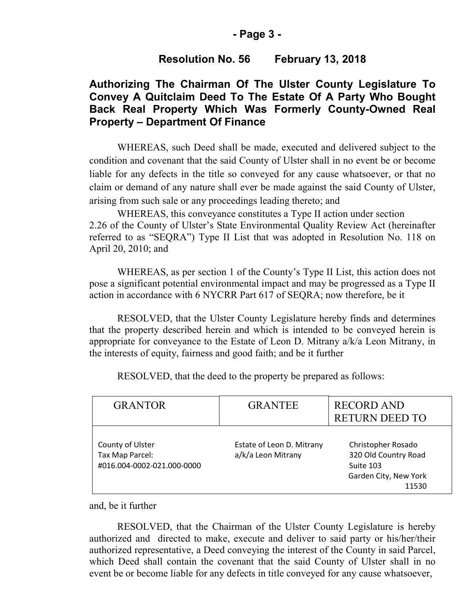### **- Page 3 -**

### **Resolution No. 56 February 13, 2018**

# **Authorizing The Chairman Of The Ulster County Legislature To Convey A Quitclaim Deed To The Estate Of A Party Who Bought Back Real Property Which Was Formerly County-Owned Real Property – Department Of Finance**

WHEREAS, such Deed shall be made, executed and delivered subject to the condition and covenant that the said County of Ulster shall in no event be or become liable for any defects in the title so conveyed for any cause whatsoever, or that no claim or demand of any nature shall ever be made against the said County of Ulster, arising from such sale or any proceedings leading thereto; and

 WHEREAS, this conveyance constitutes a Type II action under section 2.26 of the County of Ulster's State Environmental Quality Review Act (hereinafter referred to as "SEQRA") Type II List that was adopted in Resolution No. 118 on April 20, 2010; and

 WHEREAS, as per section 1 of the County's Type II List, this action does not pose a significant potential environmental impact and may be progressed as a Type II action in accordance with 6 NYCRR Part 617 of SEQRA; now therefore, be it

 RESOLVED, that the Ulster County Legislature hereby finds and determines that the property described herein and which is intended to be conveyed herein is appropriate for conveyance to the Estate of Leon D. Mitrany a/k/a Leon Mitrany, in the interests of equity, fairness and good faith; and be it further

| <b>GRANTOR</b>                                                    | <b>GRANTEE</b>                                  | <b>RECORD AND</b><br><b>RETURN DEED TO</b>                                                |
|-------------------------------------------------------------------|-------------------------------------------------|-------------------------------------------------------------------------------------------|
| County of Ulster<br>Tax Map Parcel:<br>#016.004-0002-021.000-0000 | Estate of Leon D. Mitrany<br>a/k/a Leon Mitrany | Christopher Rosado<br>320 Old Country Road<br>Suite 103<br>Garden City, New York<br>11530 |

RESOLVED, that the deed to the property be prepared as follows:

and, be it further

 RESOLVED, that the Chairman of the Ulster County Legislature is hereby authorized and directed to make, execute and deliver to said party or his/her/their authorized representative, a Deed conveying the interest of the County in said Parcel, which Deed shall contain the covenant that the said County of Ulster shall in no event be or become liable for any defects in title conveyed for any cause whatsoever,